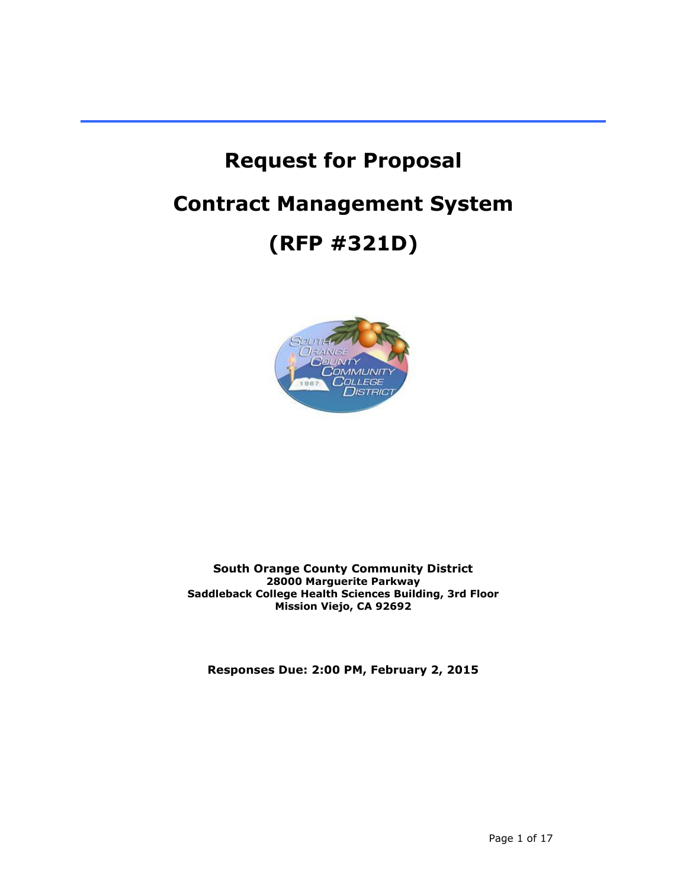# **Request for Proposal**

# **Contract Management System**

# **(RFP #321D)**



**South Orange County Community District 28000 Marguerite Parkway Saddleback College Health Sciences Building, 3rd Floor Mission Viejo, CA 92692**

**Responses Due: 2:00 PM, February 2, 2015**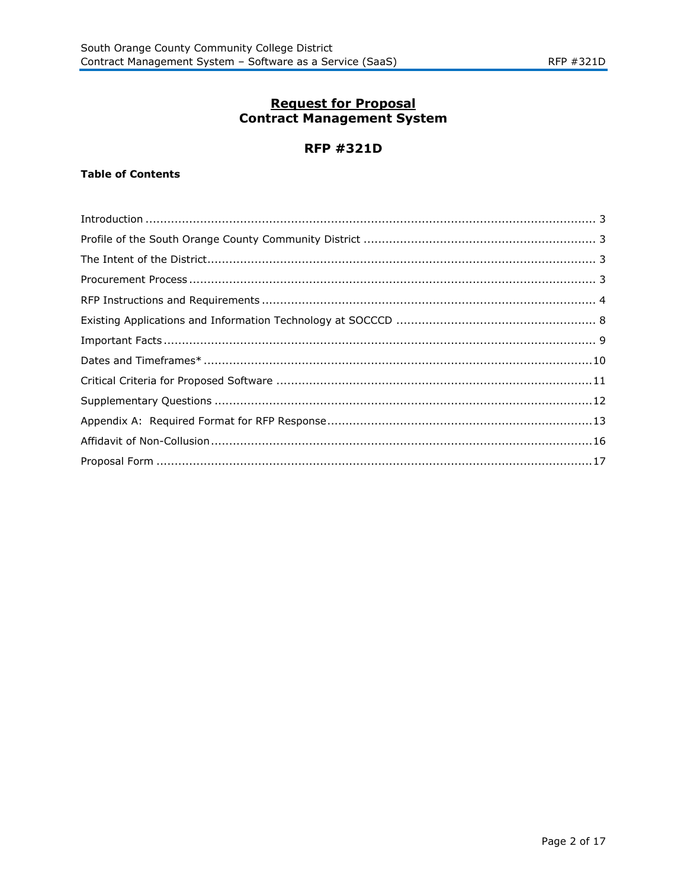# **Request for Proposal Contract Management System**

# **RFP #321D**

## **Table of Contents**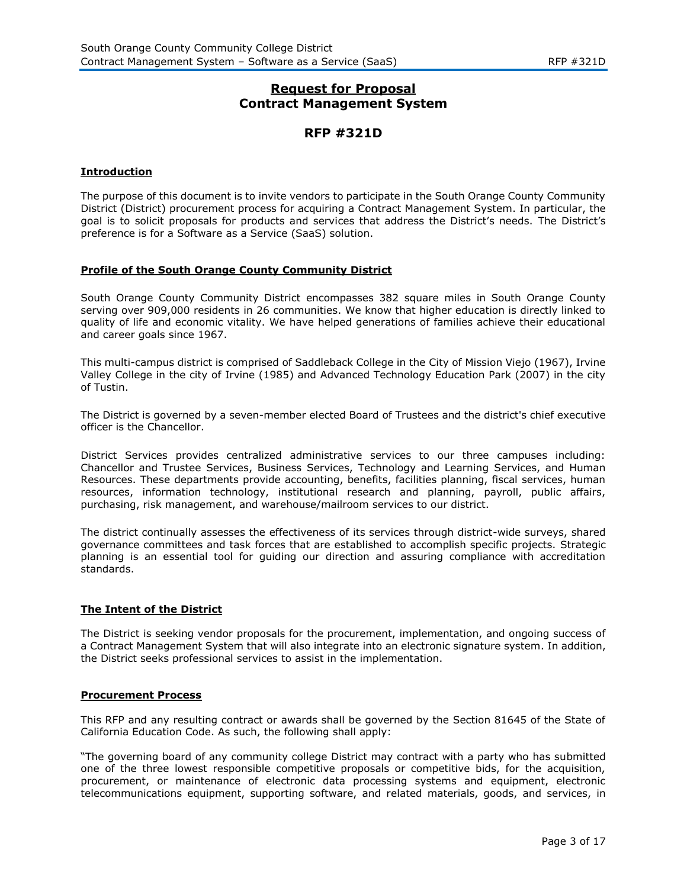## **Request for Proposal Contract Management System**

## **RFP #321D**

## **Introduction**

The purpose of this document is to invite vendors to participate in the South Orange County Community District (District) procurement process for acquiring a Contract Management System. In particular, the goal is to solicit proposals for products and services that address the District's needs. The District's preference is for a Software as a Service (SaaS) solution.

## **Profile of the South Orange County Community District**

South Orange County Community District encompasses 382 square miles in South Orange County serving over 909,000 residents in 26 communities. We know that higher education is directly linked to quality of life and economic vitality. We have helped generations of families achieve their educational and career goals since 1967.

This multi-campus district is comprised of Saddleback College in the City of Mission Viejo (1967), Irvine Valley College in the city of Irvine (1985) and Advanced Technology Education Park (2007) in the city of Tustin.

The District is governed by a seven-member elected Board of Trustees and the district's chief executive officer is the Chancellor.

District Services provides centralized administrative services to our three campuses including: Chancellor and Trustee Services, Business Services, Technology and Learning Services, and Human Resources. These departments provide accounting, benefits, facilities planning, fiscal services, human resources, information technology, institutional research and planning, payroll, public affairs, purchasing, risk management, and warehouse/mailroom services to our district.

The district continually assesses the effectiveness of its services through district-wide surveys, shared governance committees and task forces that are established to accomplish specific projects. Strategic planning is an essential tool for guiding our direction and assuring compliance with accreditation standards.

## **The Intent of the District**

The District is seeking vendor proposals for the procurement, implementation, and ongoing success of a Contract Management System that will also integrate into an electronic signature system. In addition, the District seeks professional services to assist in the implementation.

## **Procurement Process**

This RFP and any resulting contract or awards shall be governed by the Section 81645 of the State of California Education Code. As such, the following shall apply:

"The governing board of any community college District may contract with a party who has submitted one of the three lowest responsible competitive proposals or competitive bids, for the acquisition, procurement, or maintenance of electronic data processing systems and equipment, electronic telecommunications equipment, supporting software, and related materials, goods, and services, in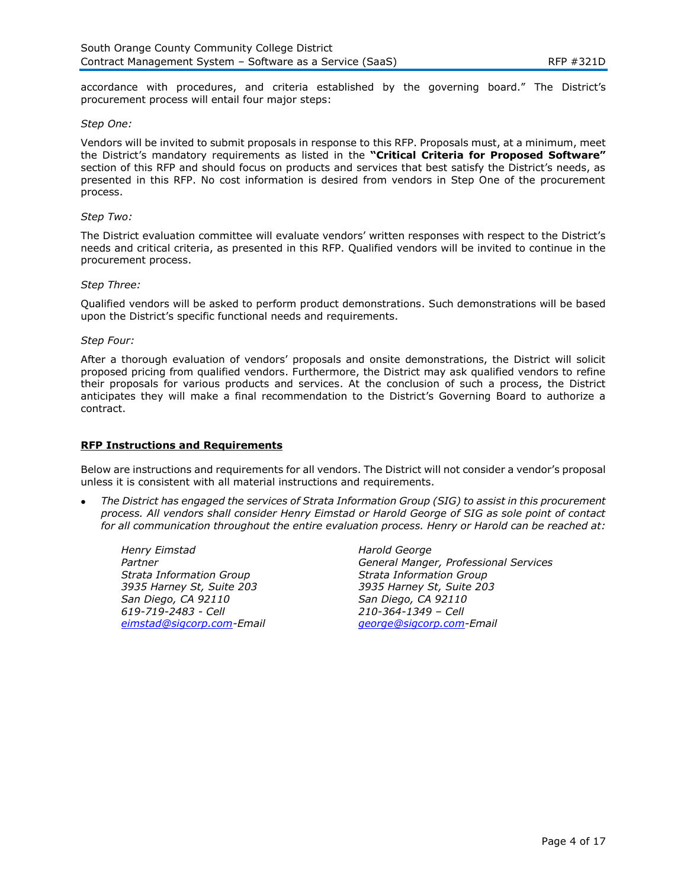accordance with procedures, and criteria established by the governing board." The District's procurement process will entail four major steps:

## *Step One:*

Vendors will be invited to submit proposals in response to this RFP. Proposals must, at a minimum, meet the District's mandatory requirements as listed in the **"Critical Criteria for Proposed Software"** section of this RFP and should focus on products and services that best satisfy the District's needs, as presented in this RFP. No cost information is desired from vendors in Step One of the procurement process.

## *Step Two:*

The District evaluation committee will evaluate vendors' written responses with respect to the District's needs and critical criteria, as presented in this RFP. Qualified vendors will be invited to continue in the procurement process.

#### *Step Three:*

Qualified vendors will be asked to perform product demonstrations. Such demonstrations will be based upon the District's specific functional needs and requirements.

#### *Step Four:*

After a thorough evaluation of vendors' proposals and onsite demonstrations, the District will solicit proposed pricing from qualified vendors. Furthermore, the District may ask qualified vendors to refine their proposals for various products and services. At the conclusion of such a process, the District anticipates they will make a final recommendation to the District's Governing Board to authorize a contract.

## **RFP Instructions and Requirements**

Below are instructions and requirements for all vendors. The District will not consider a vendor's proposal unless it is consistent with all material instructions and requirements.

 *The District has engaged the services of Strata Information Group (SIG) to assist in this procurement process. All vendors shall consider Henry Eimstad or Harold George of SIG as sole point of contact for all communication throughout the entire evaluation process. Henry or Harold can be reached at:*

*Henry Eimstad Partner Strata Information Group 3935 Harney St, Suite 203 San Diego, CA 92110 619-719-2483 - Cell [eimstad@sigcorp.com-](mailto:eimstad@sigcorp.com)Email*

*Harold George General Manger, Professional Services Strata Information Group 3935 Harney St, Suite 203 San Diego, CA 92110 210-364-1349 – Cell [george@sigcorp.com-](mailto:george@sigcorp.com)Email*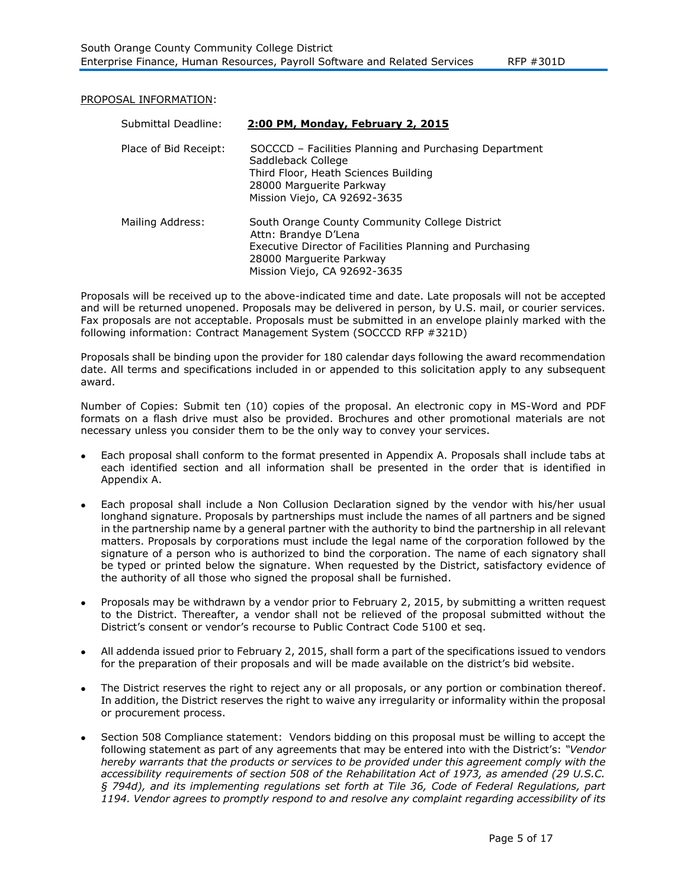## PROPOSAL INFORMATION:

| Submittal Deadline:   | 2:00 PM, Monday, February 2, 2015                                                                                                                                                              |
|-----------------------|------------------------------------------------------------------------------------------------------------------------------------------------------------------------------------------------|
| Place of Bid Receipt: | SOCCCD – Facilities Planning and Purchasing Department<br>Saddleback College<br>Third Floor, Heath Sciences Building<br>28000 Marquerite Parkway<br>Mission Viejo, CA 92692-3635               |
| Mailing Address:      | South Orange County Community College District<br>Attn: Brandye D'Lena<br>Executive Director of Facilities Planning and Purchasing<br>28000 Marquerite Parkway<br>Mission Viejo, CA 92692-3635 |

Proposals will be received up to the above-indicated time and date. Late proposals will not be accepted and will be returned unopened. Proposals may be delivered in person, by U.S. mail, or courier services. Fax proposals are not acceptable. Proposals must be submitted in an envelope plainly marked with the following information: Contract Management System (SOCCCD RFP #321D)

Proposals shall be binding upon the provider for 180 calendar days following the award recommendation date. All terms and specifications included in or appended to this solicitation apply to any subsequent award.

Number of Copies: Submit ten (10) copies of the proposal. An electronic copy in MS-Word and PDF formats on a flash drive must also be provided. Brochures and other promotional materials are not necessary unless you consider them to be the only way to convey your services.

- Each proposal shall conform to the format presented in Appendix A. Proposals shall include tabs at each identified section and all information shall be presented in the order that is identified in Appendix A.
- Each proposal shall include a Non Collusion Declaration signed by the vendor with his/her usual longhand signature. Proposals by partnerships must include the names of all partners and be signed in the partnership name by a general partner with the authority to bind the partnership in all relevant matters. Proposals by corporations must include the legal name of the corporation followed by the signature of a person who is authorized to bind the corporation. The name of each signatory shall be typed or printed below the signature. When requested by the District, satisfactory evidence of the authority of all those who signed the proposal shall be furnished.
- Proposals may be withdrawn by a vendor prior to February 2, 2015, by submitting a written request to the District. Thereafter, a vendor shall not be relieved of the proposal submitted without the District's consent or vendor's recourse to Public Contract Code 5100 et seq.
- All addenda issued prior to February 2, 2015, shall form a part of the specifications issued to vendors for the preparation of their proposals and will be made available on the district's bid website.
- The District reserves the right to reject any or all proposals, or any portion or combination thereof. In addition, the District reserves the right to waive any irregularity or informality within the proposal or procurement process.
- Section 508 Compliance statement: Vendors bidding on this proposal must be willing to accept the following statement as part of any agreements that may be entered into with the District's: *"Vendor hereby warrants that the products or services to be provided under this agreement comply with the accessibility requirements of section 508 of the Rehabilitation Act of 1973, as amended (29 U.S.C. § 794d), and its implementing regulations set forth at Tile 36, Code of Federal Regulations, part 1194. Vendor agrees to promptly respond to and resolve any complaint regarding accessibility of its*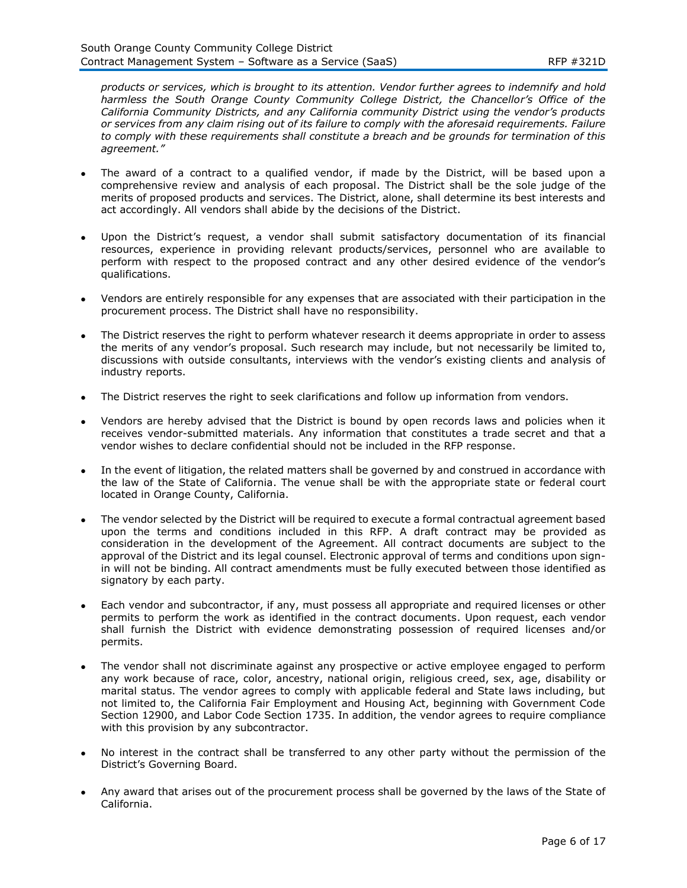*products or services, which is brought to its attention. Vendor further agrees to indemnify and hold harmless the South Orange County Community College District, the Chancellor's Office of the California Community Districts, and any California community District using the vendor's products or services from any claim rising out of its failure to comply with the aforesaid requirements. Failure to comply with these requirements shall constitute a breach and be grounds for termination of this agreement."*

- The award of a contract to a qualified vendor, if made by the District, will be based upon a comprehensive review and analysis of each proposal. The District shall be the sole judge of the merits of proposed products and services. The District, alone, shall determine its best interests and act accordingly. All vendors shall abide by the decisions of the District.
- Upon the District's request, a vendor shall submit satisfactory documentation of its financial resources, experience in providing relevant products/services, personnel who are available to perform with respect to the proposed contract and any other desired evidence of the vendor's qualifications.
- Vendors are entirely responsible for any expenses that are associated with their participation in the procurement process. The District shall have no responsibility.
- The District reserves the right to perform whatever research it deems appropriate in order to assess the merits of any vendor's proposal. Such research may include, but not necessarily be limited to, discussions with outside consultants, interviews with the vendor's existing clients and analysis of industry reports.
- The District reserves the right to seek clarifications and follow up information from vendors.
- Vendors are hereby advised that the District is bound by open records laws and policies when it receives vendor-submitted materials. Any information that constitutes a trade secret and that a vendor wishes to declare confidential should not be included in the RFP response.
- In the event of litigation, the related matters shall be governed by and construed in accordance with the law of the State of California. The venue shall be with the appropriate state or federal court located in Orange County, California.
- The vendor selected by the District will be required to execute a formal contractual agreement based upon the terms and conditions included in this RFP. A draft contract may be provided as consideration in the development of the Agreement. All contract documents are subject to the approval of the District and its legal counsel. Electronic approval of terms and conditions upon signin will not be binding. All contract amendments must be fully executed between those identified as signatory by each party.
- Each vendor and subcontractor, if any, must possess all appropriate and required licenses or other permits to perform the work as identified in the contract documents. Upon request, each vendor shall furnish the District with evidence demonstrating possession of required licenses and/or permits.
- The vendor shall not discriminate against any prospective or active employee engaged to perform any work because of race, color, ancestry, national origin, religious creed, sex, age, disability or marital status. The vendor agrees to comply with applicable federal and State laws including, but not limited to, the California Fair Employment and Housing Act, beginning with Government Code Section 12900, and Labor Code Section 1735. In addition, the vendor agrees to require compliance with this provision by any subcontractor.
- No interest in the contract shall be transferred to any other party without the permission of the District's Governing Board.
- Any award that arises out of the procurement process shall be governed by the laws of the State of California.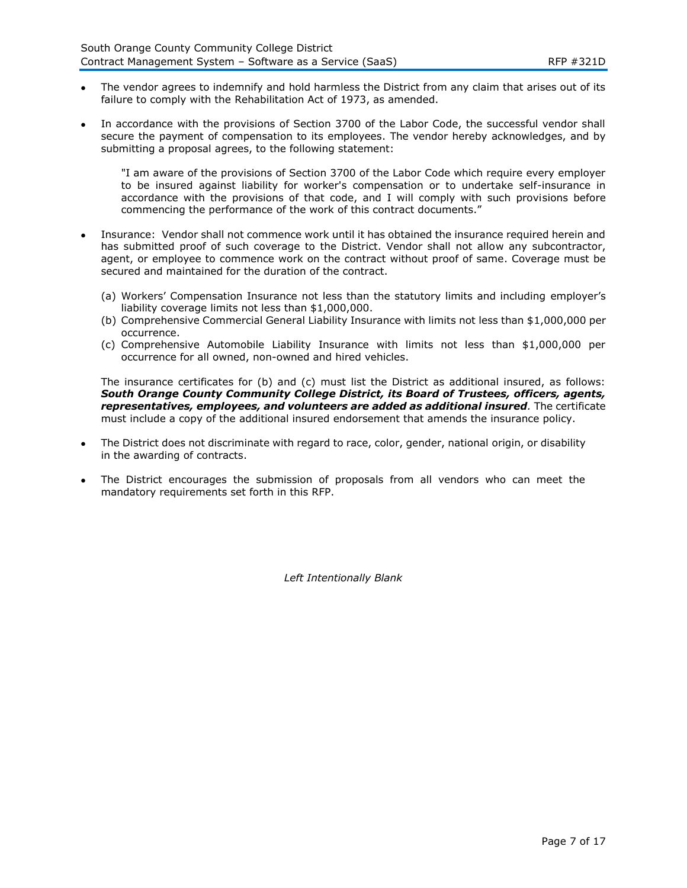- The vendor agrees to indemnify and hold harmless the District from any claim that arises out of its failure to comply with the Rehabilitation Act of 1973, as amended.
- In accordance with the provisions of Section 3700 of the Labor Code, the successful vendor shall secure the payment of compensation to its employees. The vendor hereby acknowledges, and by submitting a proposal agrees, to the following statement:

"I am aware of the provisions of Section 3700 of the Labor Code which require every employer to be insured against liability for worker's compensation or to undertake self-insurance in accordance with the provisions of that code, and I will comply with such provisions before commencing the performance of the work of this contract documents."

- Insurance: Vendor shall not commence work until it has obtained the insurance required herein and has submitted proof of such coverage to the District. Vendor shall not allow any subcontractor, agent, or employee to commence work on the contract without proof of same. Coverage must be secured and maintained for the duration of the contract.
	- (a) Workers' Compensation Insurance not less than the statutory limits and including employer's liability coverage limits not less than \$1,000,000.
	- (b) Comprehensive Commercial General Liability Insurance with limits not less than \$1,000,000 per occurrence.
	- (c) Comprehensive Automobile Liability Insurance with limits not less than \$1,000,000 per occurrence for all owned, non-owned and hired vehicles.

The insurance certificates for (b) and (c) must list the District as additional insured, as follows: *South Orange County Community College District, its Board of Trustees, officers, agents, representatives, employees, and volunteers are added as additional insured.* The certificate must include a copy of the additional insured endorsement that amends the insurance policy.

- The District does not discriminate with regard to race, color, gender, national origin, or disability in the awarding of contracts.
- The District encourages the submission of proposals from all vendors who can meet the mandatory requirements set forth in this RFP.

*Left Intentionally Blank*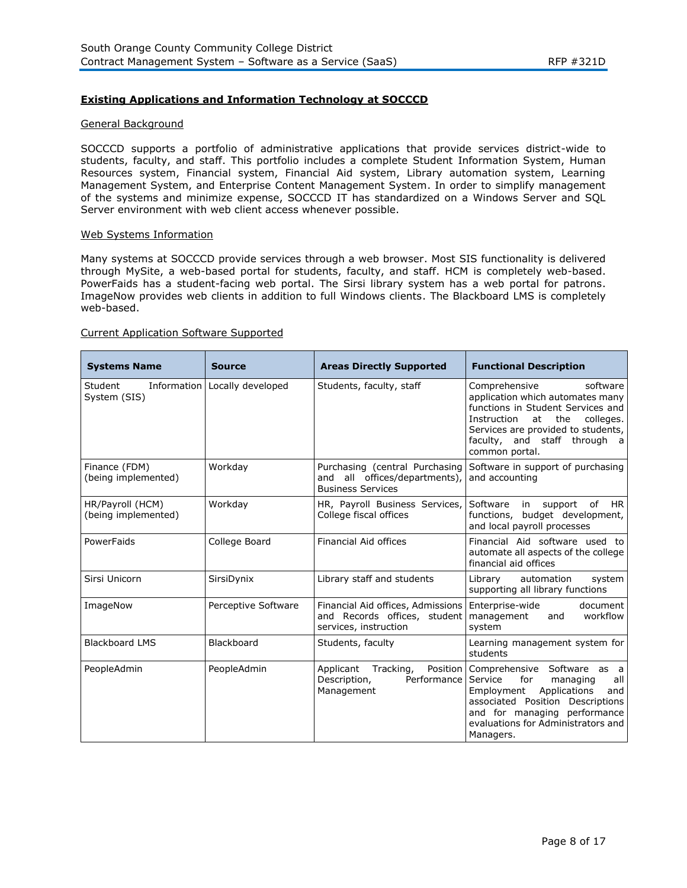## **Existing Applications and Information Technology at SOCCCD**

## General Background

SOCCCD supports a portfolio of administrative applications that provide services district-wide to students, faculty, and staff. This portfolio includes a complete Student Information System, Human Resources system, Financial system, Financial Aid system, Library automation system, Learning Management System, and Enterprise Content Management System. In order to simplify management of the systems and minimize expense, SOCCCD IT has standardized on a Windows Server and SQL Server environment with web client access whenever possible.

## Web Systems Information

Many systems at SOCCCD provide services through a web browser. Most SIS functionality is delivered through MySite, a web-based portal for students, faculty, and staff. HCM is completely web-based. PowerFaids has a student-facing web portal. The Sirsi library system has a web portal for patrons. ImageNow provides web clients in addition to full Windows clients. The Blackboard LMS is completely web-based.

## Current Application Software Supported

| <b>Systems Name</b>                     | <b>Source</b>       | <b>Areas Directly Supported</b>                                                             | <b>Functional Description</b>                                                                                                                                                                                                       |
|-----------------------------------------|---------------------|---------------------------------------------------------------------------------------------|-------------------------------------------------------------------------------------------------------------------------------------------------------------------------------------------------------------------------------------|
| Student<br>Information<br>System (SIS)  | Locally developed   | Students, faculty, staff                                                                    | software<br>Comprehensive<br>application which automates many<br>functions in Student Services and<br>at<br>the<br>Instruction<br>colleges.<br>Services are provided to students,<br>faculty, and staff through a<br>common portal. |
| Finance (FDM)<br>(being implemented)    | Workday             | Purchasing (central Purchasing<br>and all offices/departments),<br><b>Business Services</b> | Software in support of purchasing<br>and accounting                                                                                                                                                                                 |
| HR/Payroll (HCM)<br>(being implemented) | Workday             | HR, Payroll Business Services,<br>College fiscal offices                                    | support of<br>Software<br><b>HR</b><br>in<br>functions, budget development,<br>and local payroll processes                                                                                                                          |
| PowerFaids                              | College Board       | <b>Financial Aid offices</b>                                                                | Financial Aid software used to<br>automate all aspects of the college<br>financial aid offices                                                                                                                                      |
| Sirsi Unicorn                           | SirsiDynix          | Library staff and students                                                                  | Library<br>automation<br>system<br>supporting all library functions                                                                                                                                                                 |
| ImageNow                                | Perceptive Software | Financial Aid offices, Admissions<br>and Records offices, student<br>services, instruction  | Enterprise-wide<br>document<br>workflow<br>management<br>and<br>system                                                                                                                                                              |
| <b>Blackboard LMS</b>                   | Blackboard          | Students, faculty                                                                           | Learning management system for<br>students                                                                                                                                                                                          |
| PeopleAdmin                             | PeopleAdmin         | Position<br>Applicant<br>Tracking,<br>Performance<br>Description,<br>Management             | Comprehensive Software as a<br>Service<br>for<br>all<br>managing<br>Applications<br>Employment<br>and<br>associated Position Descriptions<br>and for managing performance<br>evaluations for Administrators and<br>Managers.        |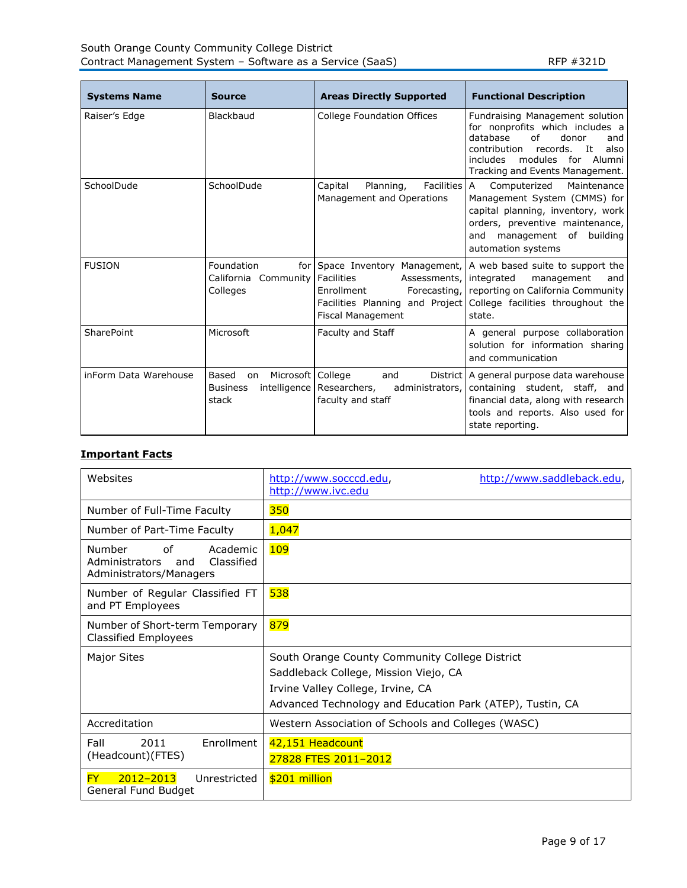| <b>Systems Name</b>   | <b>Source</b>                                                                | <b>Areas Directly Supported</b>                                                                                                                        | <b>Functional Description</b>                                                                                                                                                                                             |
|-----------------------|------------------------------------------------------------------------------|--------------------------------------------------------------------------------------------------------------------------------------------------------|---------------------------------------------------------------------------------------------------------------------------------------------------------------------------------------------------------------------------|
| Raiser's Edge         | Blackbaud                                                                    | <b>College Foundation Offices</b>                                                                                                                      | Fundraising Management solution<br>for nonprofits which includes a<br>database<br>of<br>donor<br>and<br>also<br>contribution<br>records.<br>It<br>modules<br>for<br>Alumni<br>includes<br>Tracking and Events Management. |
| SchoolDude            | SchoolDude                                                                   | Capital<br>Planning,<br><b>Facilities   A</b><br>Management and Operations                                                                             | Maintenance<br>Computerized<br>Management System (CMMS) for<br>capital planning, inventory, work<br>orders, preventive maintenance,<br>building<br>management of<br>and<br>automation systems                             |
| <b>FUSION</b>         | Foundation<br>for l<br>California Community<br>Colleges                      | Space Inventory Management,<br><b>Facilities</b><br>Assessments,<br>Enrollment<br>Forecasting,<br>Facilities Planning and Project<br>Fiscal Management | A web based suite to support the<br>integrated<br>management<br>and<br>reporting on California Community<br>College facilities throughout the<br>state.                                                                   |
| <b>SharePoint</b>     | Microsoft                                                                    | Faculty and Staff                                                                                                                                      | A general purpose collaboration<br>solution for information sharing<br>and communication                                                                                                                                  |
| inForm Data Warehouse | Microsoft College<br>Based<br>on<br><b>Business</b><br>intelligence<br>stack | and<br>Researchers,<br>administrators,<br>faculty and staff                                                                                            | District   A general purpose data warehouse<br>containing student, staff, and<br>financial data, along with research<br>tools and reports. Also used for<br>state reporting.                                              |

## **Important Facts**

| Websites                                                                                   | http://www.saddleback.edu,<br>http://www.socccd.edu,<br>http://www.ivc.edu                                                                                                                |
|--------------------------------------------------------------------------------------------|-------------------------------------------------------------------------------------------------------------------------------------------------------------------------------------------|
| Number of Full-Time Faculty                                                                | 350                                                                                                                                                                                       |
| Number of Part-Time Faculty                                                                | 1,047                                                                                                                                                                                     |
| Number<br>Ωf<br>Academic<br>Administrators<br>Classified<br>and<br>Administrators/Managers | 109                                                                                                                                                                                       |
| Number of Regular Classified FT<br>and PT Employees                                        | 538                                                                                                                                                                                       |
| Number of Short-term Temporary<br><b>Classified Employees</b>                              | 879                                                                                                                                                                                       |
| Major Sites                                                                                | South Orange County Community College District<br>Saddleback College, Mission Viejo, CA<br>Irvine Valley College, Irvine, CA<br>Advanced Technology and Education Park (ATEP), Tustin, CA |
| Accreditation                                                                              | Western Association of Schools and Colleges (WASC)                                                                                                                                        |
| Enrollment<br>Fall<br>2011<br>(Headcount)(FTES)                                            | 42,151 Headcount<br>27828 FTES 2011-2012                                                                                                                                                  |
| 2012-2013<br><b>FY</b><br>Unrestricted<br>General Fund Budget                              | \$201 million                                                                                                                                                                             |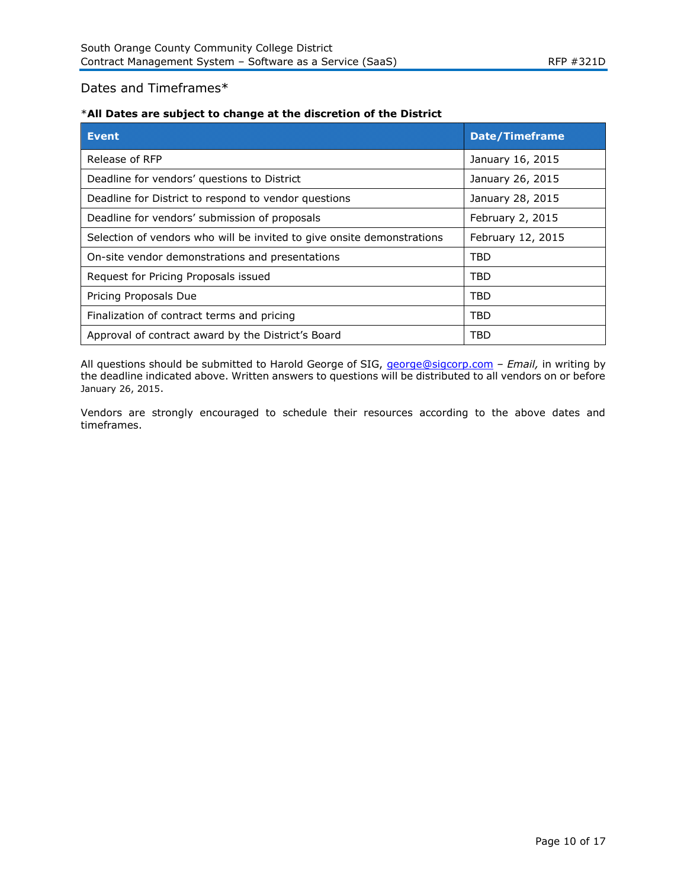## Dates and Timeframes\*

## \***All Dates are subject to change at the discretion of the District**

| <b>Extragalaction</b>                                                  | <b>Date Almenants</b> |
|------------------------------------------------------------------------|-----------------------|
| Release of RFP                                                         | January 16, 2015      |
| Deadline for vendors' questions to District                            | January 26, 2015      |
| Deadline for District to respond to vendor questions                   | January 28, 2015      |
| Deadline for vendors' submission of proposals                          | February 2, 2015      |
| Selection of vendors who will be invited to give onsite demonstrations | February 12, 2015     |
| On-site vendor demonstrations and presentations                        | TBD                   |
| Request for Pricing Proposals issued                                   | TBD                   |
| Pricing Proposals Due                                                  | TBD                   |
| Finalization of contract terms and pricing                             | TBD                   |
| Approval of contract award by the District's Board                     | TBD                   |

All questions should be submitted to Harold George of SIG, [george@sigcorp.com](mailto:george@sigcorp.com) *– Email,* in writing by the deadline indicated above. Written answers to questions will be distributed to all vendors on or before January 26, 2015.

Vendors are strongly encouraged to schedule their resources according to the above dates and timeframes.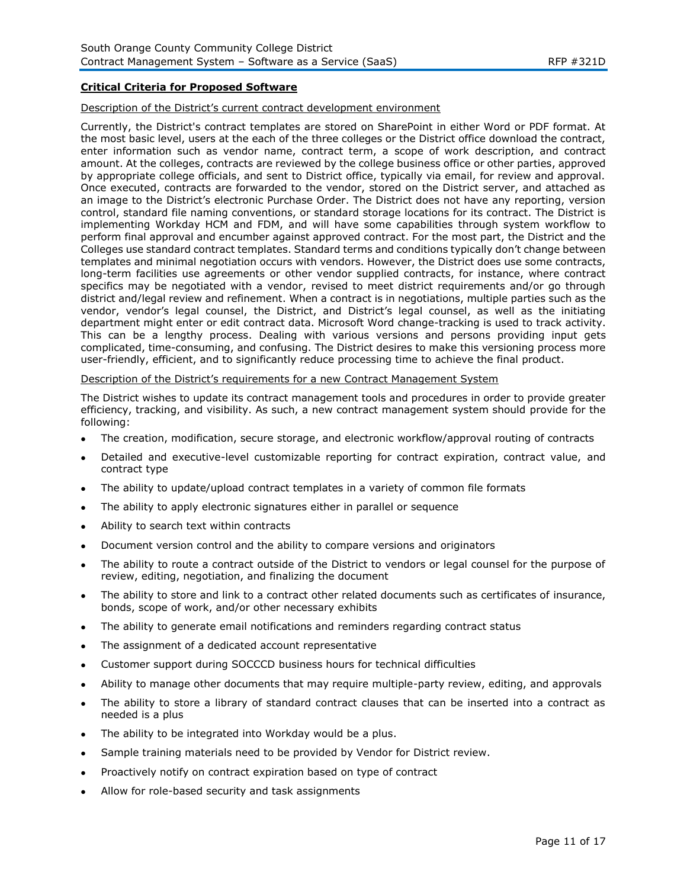## **Critical Criteria for Proposed Software**

## Description of the District's current contract development environment

Currently, the District's contract templates are stored on SharePoint in either Word or PDF format. At the most basic level, users at the each of the three colleges or the District office download the contract, enter information such as vendor name, contract term, a scope of work description, and contract amount. At the colleges, contracts are reviewed by the college business office or other parties, approved by appropriate college officials, and sent to District office, typically via email, for review and approval. Once executed, contracts are forwarded to the vendor, stored on the District server, and attached as an image to the District's electronic Purchase Order. The District does not have any reporting, version control, standard file naming conventions, or standard storage locations for its contract. The District is implementing Workday HCM and FDM, and will have some capabilities through system workflow to perform final approval and encumber against approved contract. For the most part, the District and the Colleges use standard contract templates. Standard terms and conditions typically don't change between templates and minimal negotiation occurs with vendors. However, the District does use some contracts, long-term facilities use agreements or other vendor supplied contracts, for instance, where contract specifics may be negotiated with a vendor, revised to meet district requirements and/or go through district and/legal review and refinement. When a contract is in negotiations, multiple parties such as the vendor, vendor's legal counsel, the District, and District's legal counsel, as well as the initiating department might enter or edit contract data. Microsoft Word change-tracking is used to track activity. This can be a lengthy process. Dealing with various versions and persons providing input gets complicated, time-consuming, and confusing. The District desires to make this versioning process more user-friendly, efficient, and to significantly reduce processing time to achieve the final product.

## Description of the District's requirements for a new Contract Management System

The District wishes to update its contract management tools and procedures in order to provide greater efficiency, tracking, and visibility. As such, a new contract management system should provide for the following:

- The creation, modification, secure storage, and electronic workflow/approval routing of contracts
- Detailed and executive-level customizable reporting for contract expiration, contract value, and contract type
- The ability to update/upload contract templates in a variety of common file formats
- The ability to apply electronic signatures either in parallel or sequence
- Ability to search text within contracts
- Document version control and the ability to compare versions and originators
- The ability to route a contract outside of the District to vendors or legal counsel for the purpose of review, editing, negotiation, and finalizing the document
- The ability to store and link to a contract other related documents such as certificates of insurance, bonds, scope of work, and/or other necessary exhibits
- The ability to generate email notifications and reminders regarding contract status
- The assignment of a dedicated account representative
- Customer support during SOCCCD business hours for technical difficulties
- Ability to manage other documents that may require multiple-party review, editing, and approvals
- The ability to store a library of standard contract clauses that can be inserted into a contract as needed is a plus
- The ability to be integrated into Workday would be a plus.
- Sample training materials need to be provided by Vendor for District review.
- Proactively notify on contract expiration based on type of contract
- Allow for role-based security and task assignments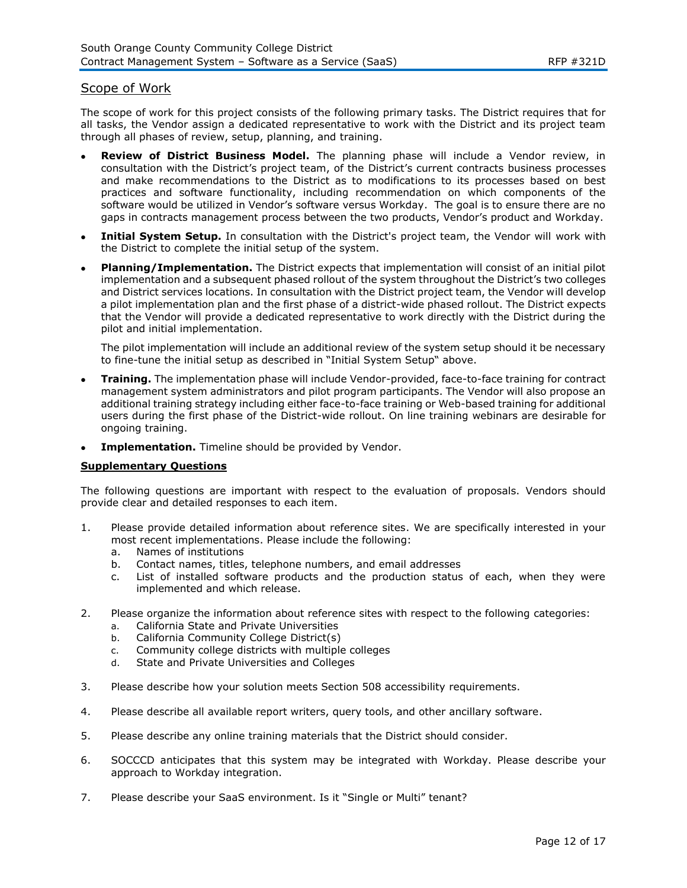## Scope of Work

The scope of work for this project consists of the following primary tasks. The District requires that for all tasks, the Vendor assign a dedicated representative to work with the District and its project team through all phases of review, setup, planning, and training.

- **Review of District Business Model.** The planning phase will include a Vendor review, in consultation with the District's project team, of the District's current contracts business processes and make recommendations to the District as to modifications to its processes based on best practices and software functionality, including recommendation on which components of the software would be utilized in Vendor's software versus Workday. The goal is to ensure there are no gaps in contracts management process between the two products, Vendor's product and Workday.
- **Initial System Setup.** In consultation with the District's project team, the Vendor will work with the District to complete the initial setup of the system.
- **Planning/Implementation.** The District expects that implementation will consist of an initial pilot implementation and a subsequent phased rollout of the system throughout the District's two colleges and District services locations. In consultation with the District project team, the Vendor will develop a pilot implementation plan and the first phase of a district-wide phased rollout. The District expects that the Vendor will provide a dedicated representative to work directly with the District during the pilot and initial implementation.

The pilot implementation will include an additional review of the system setup should it be necessary to fine-tune the initial setup as described in "Initial System Setup" above.

- **Training.** The implementation phase will include Vendor-provided, face-to-face training for contract management system administrators and pilot program participants. The Vendor will also propose an additional training strategy including either face-to-face training or Web-based training for additional users during the first phase of the District-wide rollout. On line training webinars are desirable for ongoing training.
- **Implementation.** Timeline should be provided by Vendor.

## **Supplementary Questions**

The following questions are important with respect to the evaluation of proposals. Vendors should provide clear and detailed responses to each item.

- 1. Please provide detailed information about reference sites. We are specifically interested in your most recent implementations. Please include the following:
	- a. Names of institutions
	- b. Contact names, titles, telephone numbers, and email addresses
	- c. List of installed software products and the production status of each, when they were implemented and which release.
- 2. Please organize the information about reference sites with respect to the following categories:
	- a. California State and Private Universities
	- b. California Community College District(s)
	- c. Community college districts with multiple colleges
	- d. State and Private Universities and Colleges
- 3. Please describe how your solution meets Section 508 accessibility requirements.
- 4. Please describe all available report writers, query tools, and other ancillary software.
- 5. Please describe any online training materials that the District should consider.
- 6. SOCCCD anticipates that this system may be integrated with Workday. Please describe your approach to Workday integration.
- 7. Please describe your SaaS environment. Is it "Single or Multi" tenant?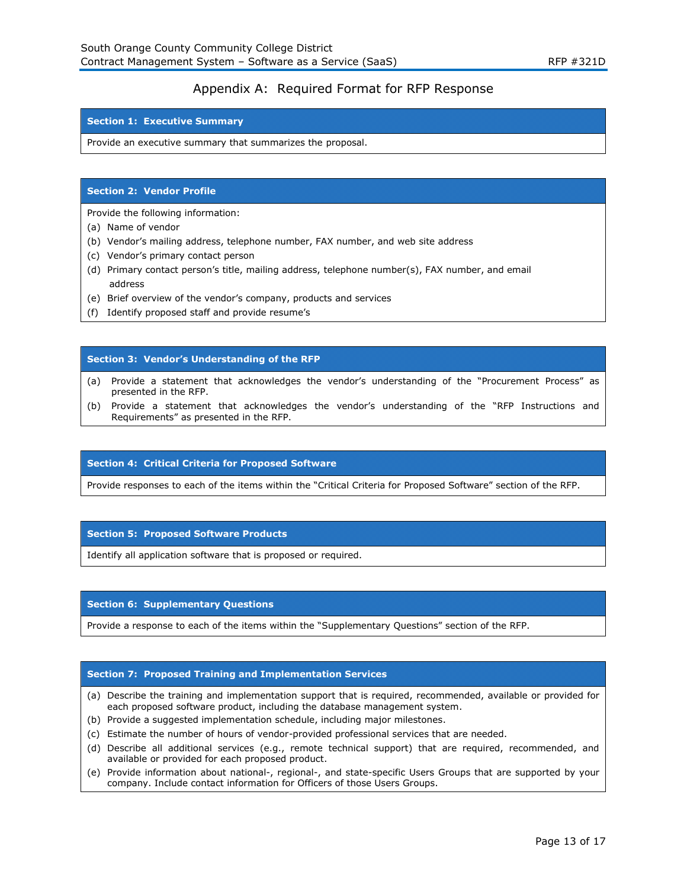## Appendix A: Required Format for RFP Response

## **Section 1: Executive Summary**

Provide an executive summary that summarizes the proposal.

## **Section 2: Vendor Profile**

Provide the following information:

- (a) Name of vendor
- (b) Vendor's mailing address, telephone number, FAX number, and web site address
- (c) Vendor's primary contact person
- (d) Primary contact person's title, mailing address, telephone number(s), FAX number, and email address
- (e) Brief overview of the vendor's company, products and services
- (f) Identify proposed staff and provide resume's

## **Section 3: Vendor's Understanding of the RFP**

- (a) Provide a statement that acknowledges the vendor's understanding of the "Procurement Process" as presented in the RFP.
- (b) Provide a statement that acknowledges the vendor's understanding of the "RFP Instructions and Requirements" as presented in the RFP.

#### **Section 4: Critical Criteria for Proposed Software**

Provide responses to each of the items within the "Critical Criteria for Proposed Software" section of the RFP.

#### **Section 5: Proposed Software Products**

Identify all application software that is proposed or required.

#### **Section 6: Supplementary Questions**

Provide a response to each of the items within the "Supplementary Questions" section of the RFP.

#### **Section 7: Proposed Training and Implementation Services**

- (a) Describe the training and implementation support that is required, recommended, available or provided for each proposed software product, including the database management system.
- (b) Provide a suggested implementation schedule, including major milestones.
- (c) Estimate the number of hours of vendor-provided professional services that are needed.
- (d) Describe all additional services (e.g., remote technical support) that are required, recommended, and available or provided for each proposed product.
- (e) Provide information about national-, regional-, and state-specific Users Groups that are supported by your company. Include contact information for Officers of those Users Groups.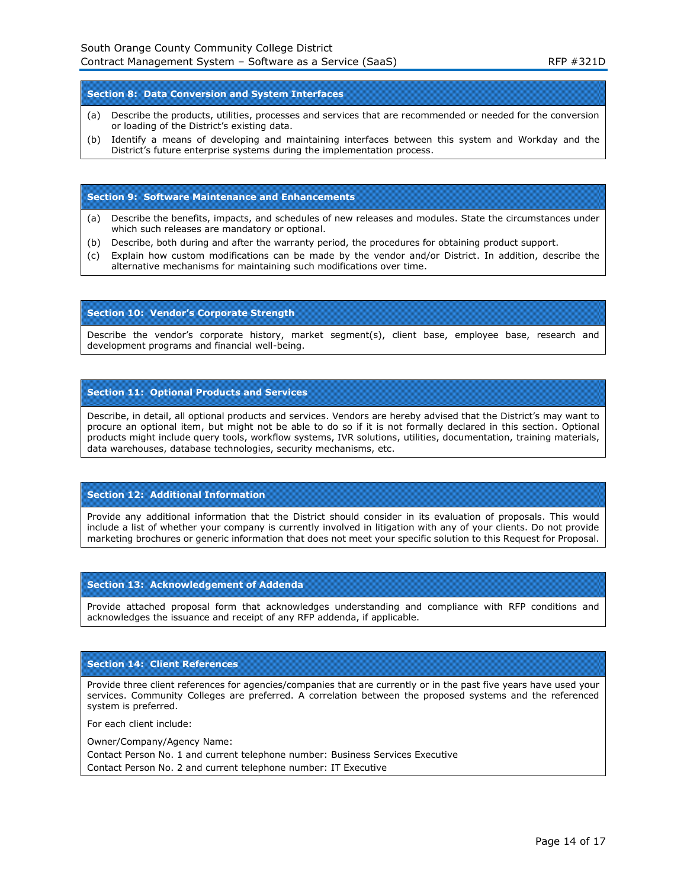## **Section 8: Data Conversion and System Interfaces**

- (a) Describe the products, utilities, processes and services that are recommended or needed for the conversion or loading of the District's existing data.
- (b) Identify a means of developing and maintaining interfaces between this system and Workday and the District's future enterprise systems during the implementation process.

#### **Section 9: Software Maintenance and Enhancements**

- (a) Describe the benefits, impacts, and schedules of new releases and modules. State the circumstances under which such releases are mandatory or optional.
- (b) Describe, both during and after the warranty period, the procedures for obtaining product support.
- (c) Explain how custom modifications can be made by the vendor and/or District. In addition, describe the alternative mechanisms for maintaining such modifications over time.

#### **Section 10: Vendor's Corporate Strength**

Describe the vendor's corporate history, market segment(s), client base, employee base, research and development programs and financial well-being.

#### **Section 11: Optional Products and Services**

Describe, in detail, all optional products and services. Vendors are hereby advised that the District's may want to procure an optional item, but might not be able to do so if it is not formally declared in this section. Optional products might include query tools, workflow systems, IVR solutions, utilities, documentation, training materials, data warehouses, database technologies, security mechanisms, etc.

## **Section 12: Additional Information**

Provide any additional information that the District should consider in its evaluation of proposals. This would include a list of whether your company is currently involved in litigation with any of your clients. Do not provide marketing brochures or generic information that does not meet your specific solution to this Request for Proposal.

#### **Section 13: Acknowledgement of Addenda**

Provide attached proposal form that acknowledges understanding and compliance with RFP conditions and acknowledges the issuance and receipt of any RFP addenda, if applicable.

#### **Section 14: Client References**

Provide three client references for agencies/companies that are currently or in the past five years have used your services. Community Colleges are preferred. A correlation between the proposed systems and the referenced system is preferred.

For each client include:

Owner/Company/Agency Name:

Contact Person No. 1 and current telephone number: Business Services Executive Contact Person No. 2 and current telephone number: IT Executive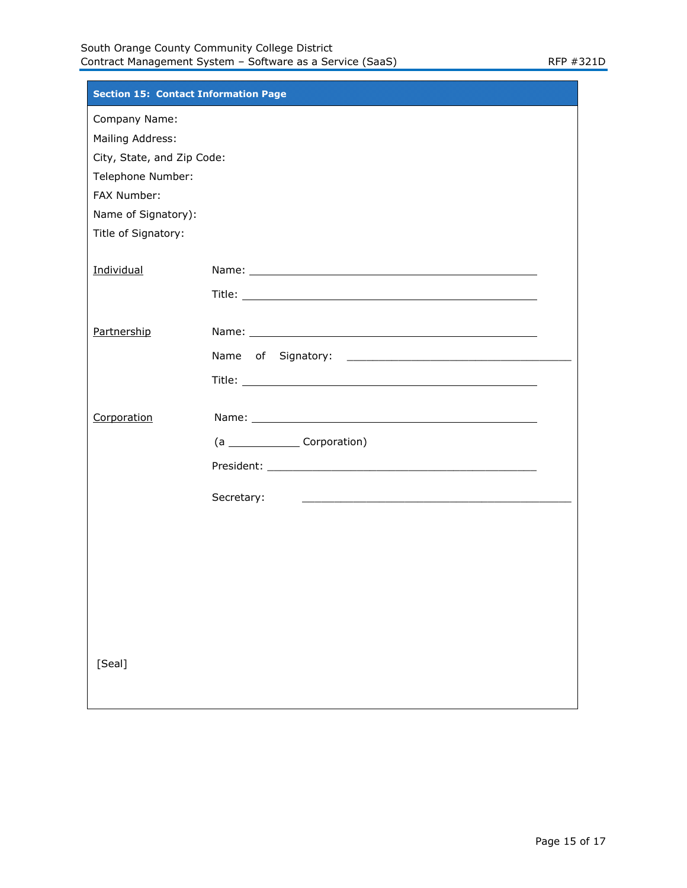| Section 15: Contact Information Page |                                                                                                                                                                                                                                |  |  |
|--------------------------------------|--------------------------------------------------------------------------------------------------------------------------------------------------------------------------------------------------------------------------------|--|--|
| Company Name:                        |                                                                                                                                                                                                                                |  |  |
| Mailing Address:                     |                                                                                                                                                                                                                                |  |  |
| City, State, and Zip Code:           |                                                                                                                                                                                                                                |  |  |
| Telephone Number:                    |                                                                                                                                                                                                                                |  |  |
| FAX Number:                          |                                                                                                                                                                                                                                |  |  |
| Name of Signatory):                  |                                                                                                                                                                                                                                |  |  |
| Title of Signatory:                  |                                                                                                                                                                                                                                |  |  |
|                                      |                                                                                                                                                                                                                                |  |  |
| Individual                           | Name: Name and the state of the state of the state of the state of the state of the state of the state of the state of the state of the state of the state of the state of the state of the state of the state of the state of |  |  |
|                                      |                                                                                                                                                                                                                                |  |  |
|                                      |                                                                                                                                                                                                                                |  |  |
| Partnership                          |                                                                                                                                                                                                                                |  |  |
|                                      |                                                                                                                                                                                                                                |  |  |
|                                      |                                                                                                                                                                                                                                |  |  |
|                                      |                                                                                                                                                                                                                                |  |  |
| Corporation                          |                                                                                                                                                                                                                                |  |  |
|                                      | (a Corporation)                                                                                                                                                                                                                |  |  |
|                                      |                                                                                                                                                                                                                                |  |  |
|                                      | Secretary:<br><u> 1989 - Johann Harry Harry Harry Harry Harry Harry Harry Harry Harry Harry Harry Harry Harry Harry Harry Harry</u>                                                                                            |  |  |
|                                      |                                                                                                                                                                                                                                |  |  |
|                                      |                                                                                                                                                                                                                                |  |  |
|                                      |                                                                                                                                                                                                                                |  |  |
|                                      |                                                                                                                                                                                                                                |  |  |
|                                      |                                                                                                                                                                                                                                |  |  |

[Seal]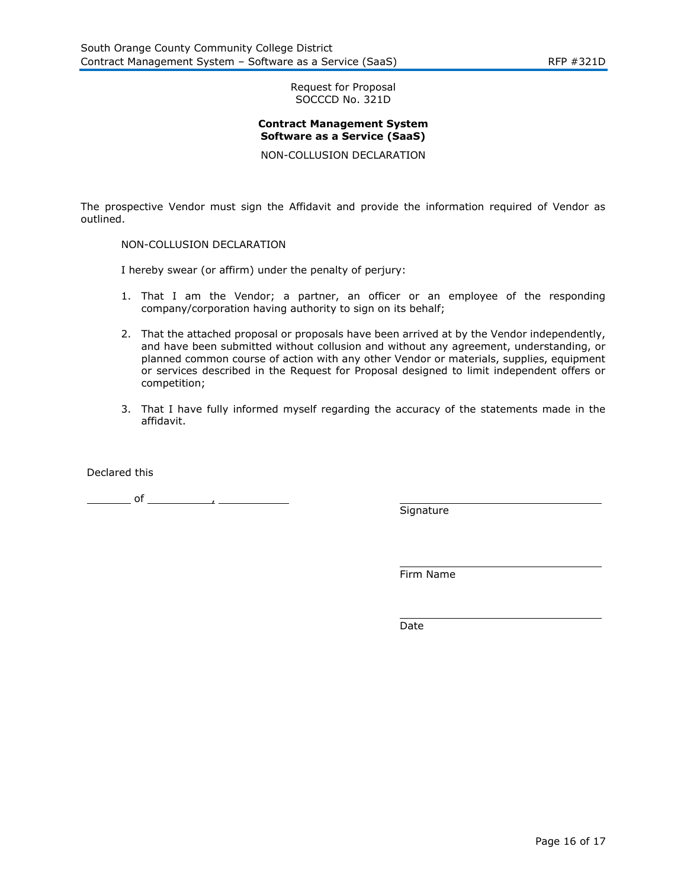Request for Proposal SOCCCD No. 321D

## **Contract Management System Software as a Service (SaaS)**

NON-COLLUSION DECLARATION

The prospective Vendor must sign the Affidavit and provide the information required of Vendor as outlined.

NON-COLLUSION DECLARATION

I hereby swear (or affirm) under the penalty of perjury:

- 1. That I am the Vendor; a partner, an officer or an employee of the responding company/corporation having authority to sign on its behalf;
- 2. That the attached proposal or proposals have been arrived at by the Vendor independently, and have been submitted without collusion and without any agreement, understanding, or planned common course of action with any other Vendor or materials, supplies, equipment or services described in the Request for Proposal designed to limit independent offers or competition;
- 3. That I have fully informed myself regarding the accuracy of the statements made in the affidavit.

Declared this

 $\frac{1}{\sqrt{1-\frac{1}{2}}}\circ f$  , where  $\frac{1}{\sqrt{1-\frac{1}{2}}}\circ f$ 

Signature

Firm Name

Date